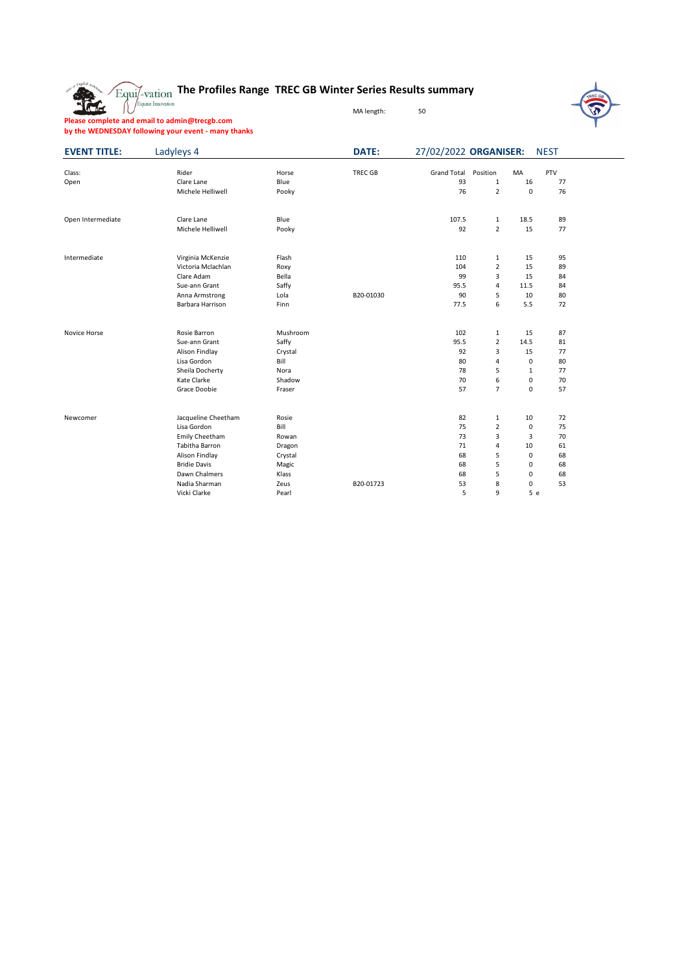

## **The Profiles Range TREC GB Winter Series Results summary**

MA length: 50



**Please complete and email to admin@trecgb.com by the WEDNESDAY following your event - many thanks**

| <b>EVENT TITLE:</b> | Ladyleys 4          |          | <b>DATE:</b>   | 27/02/2022 ORGANISER: |                |                | <b>NEST</b> |  |
|---------------------|---------------------|----------|----------------|-----------------------|----------------|----------------|-------------|--|
| Class:              | Rider               | Horse    | <b>TREC GB</b> | <b>Grand Total</b>    | Position       | MA             | PTV         |  |
| Open                | Clare Lane          | Blue     |                | 93                    | $\mathbf{1}$   | 16             | 77          |  |
|                     | Michele Helliwell   | Pooky    |                | 76                    | $\overline{2}$ | $\mathbf 0$    | 76          |  |
| Open Intermediate   | Clare Lane          | Blue     |                | 107.5                 | $\mathbf{1}$   | 18.5           | 89          |  |
|                     | Michele Helliwell   | Pooky    |                | 92                    | $\overline{2}$ | 15             | 77          |  |
| Intermediate        | Virginia McKenzie   | Flash    |                | 110                   | $\mathbf{1}$   | 15             | 95          |  |
|                     | Victoria Mclachlan  | Roxy     |                | 104                   | $\overline{2}$ | 15             | 89          |  |
|                     | Clare Adam          | Bella    |                | 99                    | 3              | 15             | 84          |  |
|                     | Sue-ann Grant       | Saffy    |                | 95.5                  | 4              | 11.5           | 84          |  |
|                     | Anna Armstrong      | Lola     | B20-01030      | 90                    | 5              | 10             | 80          |  |
|                     | Barbara Harrison    | Finn     |                | 77.5                  | 6              | 5.5            | 72          |  |
| Novice Horse        | Rosie Barron        | Mushroom |                | 102                   | 1              | 15             | 87          |  |
|                     | Sue-ann Grant       | Saffy    |                | 95.5                  | $\overline{2}$ | 14.5           | 81          |  |
|                     | Alison Findlay      | Crystal  |                | 92                    | 3              | 15             | 77          |  |
|                     | Lisa Gordon         | Bill     |                | 80                    | 4              | 0              | 80          |  |
|                     | Sheila Docherty     | Nora     |                | 78                    | 5              | $\mathbf{1}$   | 77          |  |
|                     | Kate Clarke         | Shadow   |                | 70                    | 6              | 0              | 70          |  |
|                     | Grace Doobie        | Fraser   |                | 57                    | $\overline{7}$ | 0              | 57          |  |
| Newcomer            | Jacqueline Cheetham | Rosie    |                | 82                    | $\mathbf{1}$   | 10             | 72          |  |
|                     | Lisa Gordon         | Bill     |                | 75                    | $\overline{2}$ | 0              | 75          |  |
|                     | Emily Cheetham      | Rowan    |                | 73                    | 3              | $\overline{3}$ | 70          |  |
|                     | Tabitha Barron      | Dragon   |                | 71                    | 4              | 10             | 61          |  |
|                     | Alison Findlay      | Crystal  |                | 68                    | 5              | $\mathbf 0$    | 68          |  |
|                     | <b>Bridie Davis</b> | Magic    |                | 68                    | 5              | 0              | 68          |  |
|                     | Dawn Chalmers       | Klass    |                | 68                    | 5              | 0              | 68          |  |
|                     | Nadia Sharman       | Zeus     | B20-01723      | 53                    | 8              | 0              | 53          |  |
|                     | Vicki Clarke        | Pearl    |                | 5                     | 9              |                | 5e          |  |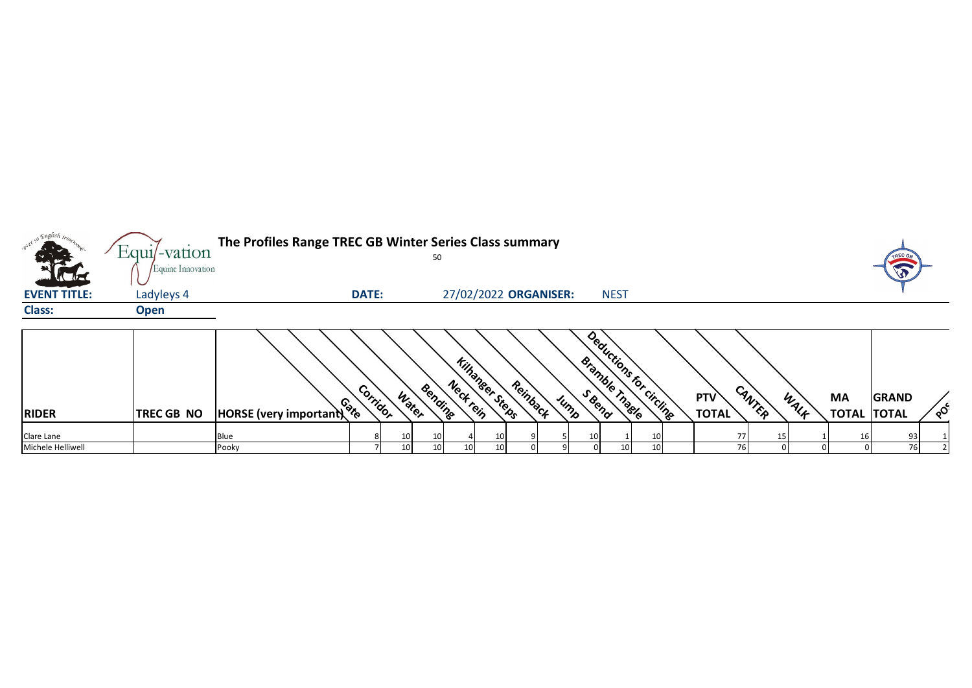| . english <sub>trom</sub> |                                     | The Profiles Range TREC GB Winter Series Class summary |              |       |         |           |                        |          |      |               |                         |                            |        |      |                                 |                      |          |
|---------------------------|-------------------------------------|--------------------------------------------------------|--------------|-------|---------|-----------|------------------------|----------|------|---------------|-------------------------|----------------------------|--------|------|---------------------------------|----------------------|----------|
|                           | $Equi$ -vation<br>Equine Innovation |                                                        |              |       | 50      |           |                        |          |      |               |                         |                            |        |      |                                 | TREC G<br>$\sqrt{3}$ |          |
| <b>EVENT TITLE:</b>       | Ladyleys 4                          |                                                        | <b>DATE:</b> |       |         |           | 27/02/2022 ORGANISER:  |          |      | <b>NEST</b>   |                         |                            |        |      |                                 |                      |          |
| <b>Class:</b>             | <b>Open</b>                         |                                                        |              |       |         |           |                        |          |      |               |                         |                            |        |      |                                 |                      |          |
| <b>RIDER</b>              | <b>TREC GB NO</b>                   | HORSE (very important)                                 | Corridor     | Water | Bending | Neck rein | <b>Kilhanger Steps</b> | Reinback | Jump | Bramble Thage | Deductions for circline | <b>PTV</b><br><b>TOTAL</b> | CANTER | WALF | <b>MA</b><br><b>TOTAL TOTAL</b> | <b>GRAND</b>         | $\sigma$ |
| Clare Lane                |                                     | Blue                                                   |              |       | 10      |           | 10                     |          |      |               | 10 <sup>1</sup>         |                            |        |      |                                 | 93                   |          |
| Michele Helliwell         |                                     | Pooky                                                  |              | 10    | 10      | 10        | 10                     |          |      | 10            | 10 <sup>1</sup>         | 76                         |        |      |                                 | 76                   |          |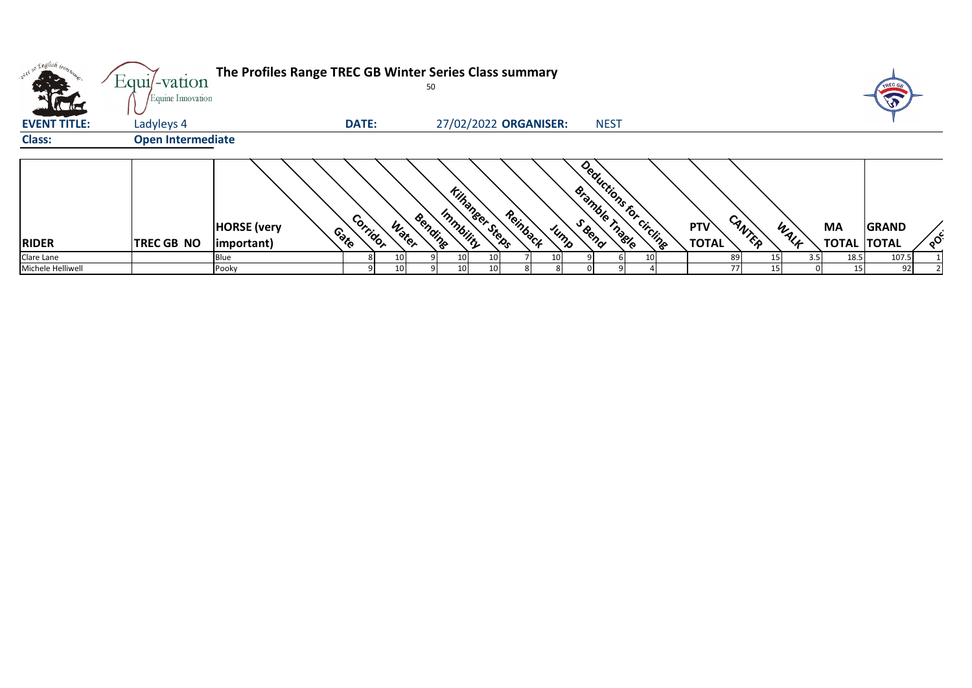| <b>STATISTICS</b><br><b>KAT</b> | $Equi$ -vation<br>Equine Innovation | The Profiles Range TREC GB Winter Series Class summary<br>50                                                                                                                                                                       |                          | TREC GA                  |
|---------------------------------|-------------------------------------|------------------------------------------------------------------------------------------------------------------------------------------------------------------------------------------------------------------------------------|--------------------------|--------------------------|
| <b>EVENT TITLE:</b>             | Ladyleys 4                          | 27/02/2022 ORGANISER:<br><b>DATE:</b><br><b>NEST</b>                                                                                                                                                                               |                          |                          |
| <b>Class:</b>                   | <b>Open Intermediate</b>            |                                                                                                                                                                                                                                    |                          |                          |
| <b>RIDER</b>                    | <b>TREC GB NO</b>                   | Deductions for circuits<br><b>Kilhanger Steps</b><br>Bramble Tragle<br>Reinback<br>Immbility<br>Bending<br>Corrigor<br>CANTER<br>Water<br><b>PTV</b><br><b>HORSE</b> (very<br>WALK<br>Jump<br>Contro<br><b>TOTAL</b><br>important) | MA<br><b>TOTAL TOTAL</b> | <b>GRAND</b><br>$\delta$ |
| Clare Lane<br>Michele Helliwell |                                     | 89<br>Blue<br>10<br>10 <sub>l</sub><br>10<br><b>771</b><br>Pooky<br>10<br>10<br>101                                                                                                                                                | 18.5<br>3.5<br>15        | 107.5<br>92              |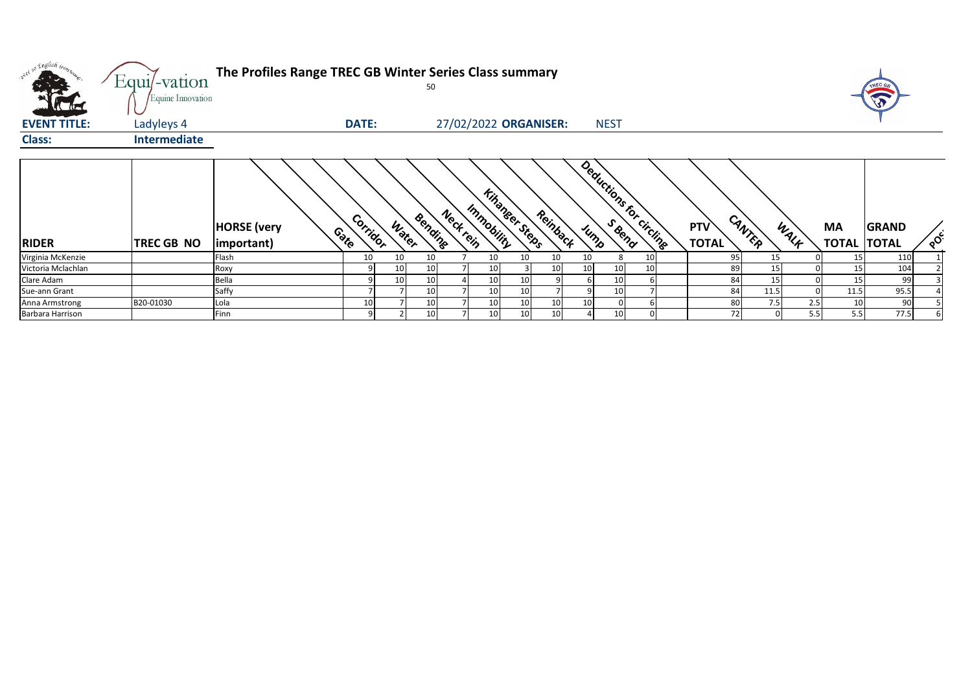| we so English trong<br><b>AND AND A</b> | Equi/-vation<br>Equine Innovation | The Profiles Range TREC GB Winter Series Class summary |                            | 50      |                        |                                   |                          |    |                     |        |            |      | TREC GB                            |                 |
|-----------------------------------------|-----------------------------------|--------------------------------------------------------|----------------------------|---------|------------------------|-----------------------------------|--------------------------|----|---------------------|--------|------------|------|------------------------------------|-----------------|
| <b>EVENT TITLE:</b>                     | Ladyleys 4                        |                                                        | DATE:                      |         |                        | 27/02/2022 ORGANISER:             | <b>NEST</b>              |    |                     |        |            |      |                                    |                 |
| <b>Class:</b>                           | Intermediate                      |                                                        |                            |         |                        |                                   |                          |    |                     |        |            |      |                                    |                 |
| <b>RIDER</b>                            | TREC GB NO                        | <b>HORSE</b> (very<br>(important)                      | Corridor<br>Water<br>Conto | Bending | Immobility<br>Neckrein | <b>Kingheer Steps</b><br>Reinback | Deductions for circlings |    | PTV<br><b>TOTAL</b> | CANTER | MA<br>WALF |      | <b>GRAND</b><br><b>TOTAL TOTAL</b> | $\circ^{\circ}$ |
| Virginia McKenzie                       |                                   | Flash                                                  | 10<br>10                   | 10      | 10                     | 10<br>10                          | 10<br>8                  | 10 | 95                  | 15     |            | 15   | 110                                |                 |
| Victoria Mclachlan                      |                                   | Roxy                                                   | 10                         | 10      | 10                     | 10                                | 10<br>10                 | 10 | 89                  | 15     |            | 15   | 104                                |                 |
| Clare Adam                              |                                   | Bella                                                  | 10                         | 10      | 10 <sub>1</sub>        |                                   | 10                       |    | 84                  | 15     |            | 15   | 99                                 |                 |
| Sue-ann Grant                           |                                   | Saffy                                                  |                            | 10      | 10                     | 10                                | 10                       |    | 84                  | 11.5   |            | 11.5 | 95.5                               |                 |
| Anna Armstrong                          | B20-01030                         | Lola                                                   | 10                         | 10      | 10                     | 10<br>10                          | 10                       |    | 80                  | 7.5    | 2.5        | 10   | 90                                 |                 |
| Barbara Harrison                        |                                   | Finn                                                   |                            | 10      | 10                     | 10<br>10                          | 10                       |    | 72                  |        | 5.5        | 5.5  | 77.5                               |                 |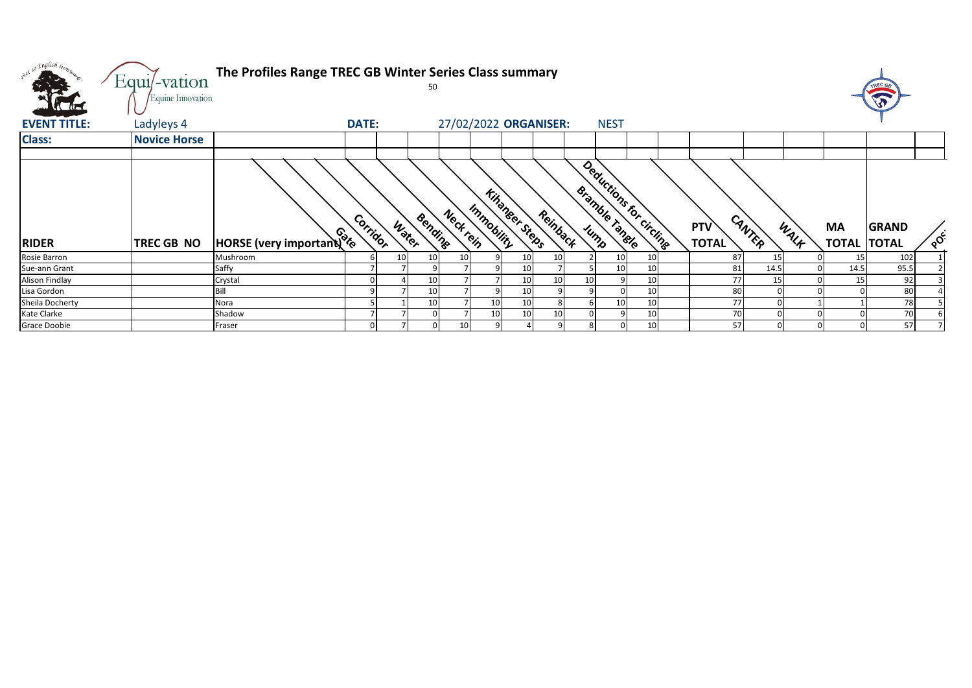| over 50 English bon.<br><b>All De</b> | Equi/-vation<br>Equine Innovation | The Profiles Range TREC GB Winter Series Class summary |              |       | 50      |                 |                                     |                 |          |                |                         |                     |        |      |                                 | TREC G <sub>B</sub><br>E |               |
|---------------------------------------|-----------------------------------|--------------------------------------------------------|--------------|-------|---------|-----------------|-------------------------------------|-----------------|----------|----------------|-------------------------|---------------------|--------|------|---------------------------------|--------------------------|---------------|
| <b>Allied</b><br><b>EVENT TITLE:</b>  | Ladyleys 4                        |                                                        | <b>DATE:</b> |       |         |                 | 27/02/2022 ORGANISER:               |                 |          | <b>NEST</b>    |                         |                     |        |      |                                 |                          |               |
| <b>Class:</b>                         | <b>Novice Horse</b>               |                                                        |              |       |         |                 |                                     |                 |          |                |                         |                     |        |      |                                 |                          |               |
|                                       |                                   |                                                        |              |       |         |                 |                                     |                 |          |                |                         |                     |        |      |                                 |                          |               |
| <b>RIDER</b>                          | <b>TREC GB NO</b>                 | HORSE (very important) &                               | Corridor     | Water | Bending | Neckrein        | <b>Kihanger Steps</b><br>Immobility |                 | Reinback | Bramble Tangle | Deductions for circline | PTV<br><b>TOTAL</b> | CANTER | WALK | <b>MA</b><br><b>TOTAL TOTAL</b> | <b>GRAND</b>             | $\circ^\circ$ |
| Rosie Barron                          |                                   | Mushroom                                               |              |       | 10      | 10 <sup>1</sup> |                                     | 10 <sup>1</sup> | 10       | 10             | 10                      | 87                  | 15     |      | 15                              | 102                      |               |
| Sue-ann Grant                         |                                   | Saffy                                                  |              |       |         |                 |                                     | 10              |          | 10             | 10                      | 81                  | 14.5   |      | 14.5                            | 95.5                     |               |
| <b>Alison Findlay</b>                 |                                   | Crystal                                                |              |       | 10      |                 |                                     | 10 <sup>1</sup> | 10       |                | 10                      | 77                  | 15     |      | 15                              | 92                       |               |
| Lisa Gordon                           |                                   | Bill                                                   |              |       | 10      |                 |                                     | 10 <sup>1</sup> |          |                | 10                      | 80                  |        |      |                                 | 80                       |               |
| Sheila Docherty                       |                                   | Nora                                                   |              |       | 10      |                 | 10                                  | 10              |          | 10             | 10                      | 77                  |        |      |                                 | 78                       |               |
| Kate Clarke                           |                                   | Shadow                                                 |              |       |         |                 | 10                                  | 10              | 10       |                | 10                      | 70                  |        |      |                                 | 70                       |               |
| Grace Doobie                          |                                   | Fraser                                                 |              |       |         | 10              |                                     |                 |          |                | 10                      | 57                  |        |      |                                 | 57                       |               |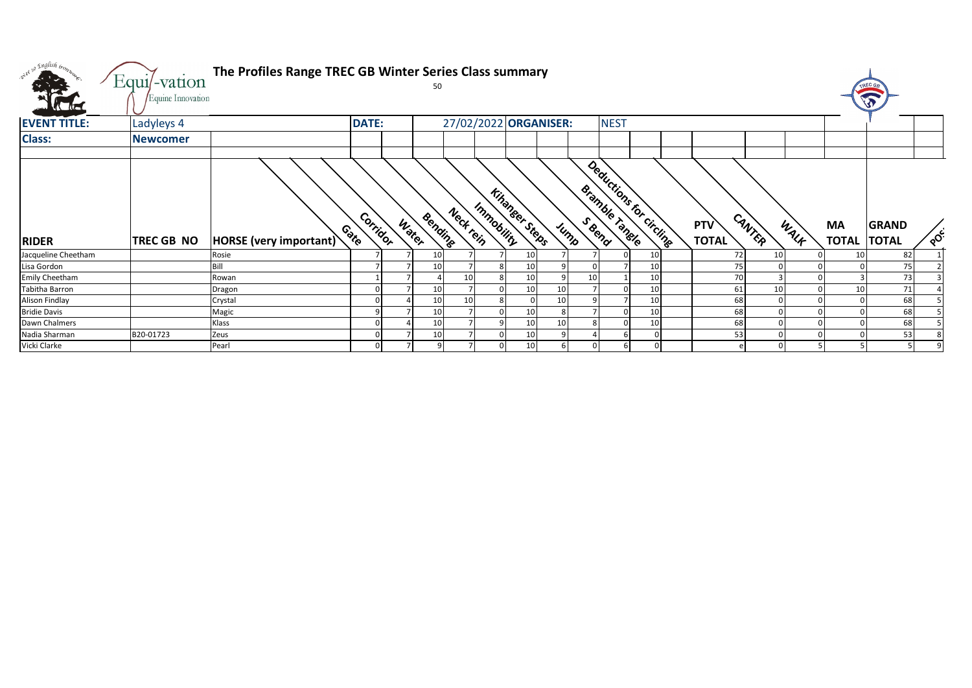| ster so English tromp. | Equi/-vation      | The Profiles Range TREC GB Winter Series Class summary |                  |       |         |           |            |                       |    |                |                                                  |    |                            |        |                 |                           |                              |          |
|------------------------|-------------------|--------------------------------------------------------|------------------|-------|---------|-----------|------------|-----------------------|----|----------------|--------------------------------------------------|----|----------------------------|--------|-----------------|---------------------------|------------------------------|----------|
|                        | Equine Innovation |                                                        |                  |       |         |           |            |                       |    |                |                                                  |    |                            |        |                 |                           | TREC GA                      |          |
| <b>EVENT TITLE:</b>    | Ladyleys 4        |                                                        | <b>DATE:</b>     |       |         |           |            | 27/02/2022 ORGANISER: |    |                | <b>NEST</b>                                      |    |                            |        |                 |                           |                              |          |
| <b>Class:</b>          | <b>Newcomer</b>   |                                                        |                  |       |         |           |            |                       |    |                |                                                  |    |                            |        |                 |                           |                              |          |
|                        |                   |                                                        |                  |       |         |           |            |                       |    |                |                                                  |    |                            |        |                 |                           |                              |          |
| <b>RIDER</b>           | <b>TREC GB NO</b> | HORSE (very important)                                 | Corridor<br>Cote | Water | Bendine | Neck rein | Immobility | <b>Kingheer Steps</b> |    | Jump           | Deductions for Circline<br><b>Bramble Tangle</b> |    | <b>PTV</b><br><b>TOTAL</b> | CANTER | WALK            | <b>MA</b><br><b>TOTAL</b> | <b>GRAND</b><br><b>TOTAL</b> | $\delta$ |
| Jacqueline Cheetham    |                   | Rosie                                                  |                  |       | 10      |           |            | 10                    |    |                |                                                  | 10 |                            | 72     | 10 <sub>1</sub> | 10                        | 82                           |          |
| Lisa Gordon            |                   | Bill                                                   |                  |       | 10      |           |            | 10                    |    |                |                                                  | 10 |                            | 75     |                 |                           | 75                           |          |
| <b>Emily Cheetham</b>  |                   | Rowan                                                  |                  |       |         | 10        |            | 10                    |    | 10             |                                                  | 10 |                            | 70     |                 |                           | 73                           |          |
| Tabitha Barron         |                   | Dragon                                                 |                  |       | 10      |           |            | 10                    | 10 |                |                                                  | 10 |                            | 61     | 10              | 10                        | 71                           |          |
| <b>Alison Findlay</b>  |                   | Crystal                                                |                  |       | 10      | 10        |            |                       | 10 |                |                                                  | 10 |                            | 68     |                 |                           | 68                           |          |
| <b>Bridie Davis</b>    |                   | Magic                                                  | C                |       | 10      |           |            | 10                    |    |                |                                                  | 10 |                            | 68     |                 |                           | 68                           |          |
| Dawn Chalmers          |                   | Klass                                                  |                  |       | 10      |           |            | 10                    | 10 |                |                                                  | 10 |                            | 68     |                 |                           | 68                           |          |
| Nadia Sharman          | B20-01723         | Zeus                                                   |                  |       | 10      |           |            | 10                    |    |                |                                                  |    |                            | 53     |                 |                           | 53                           |          |
| Vicki Clarke           |                   | Pearl                                                  |                  |       |         |           |            | 10                    |    | $\overline{0}$ |                                                  |    |                            |        |                 |                           |                              |          |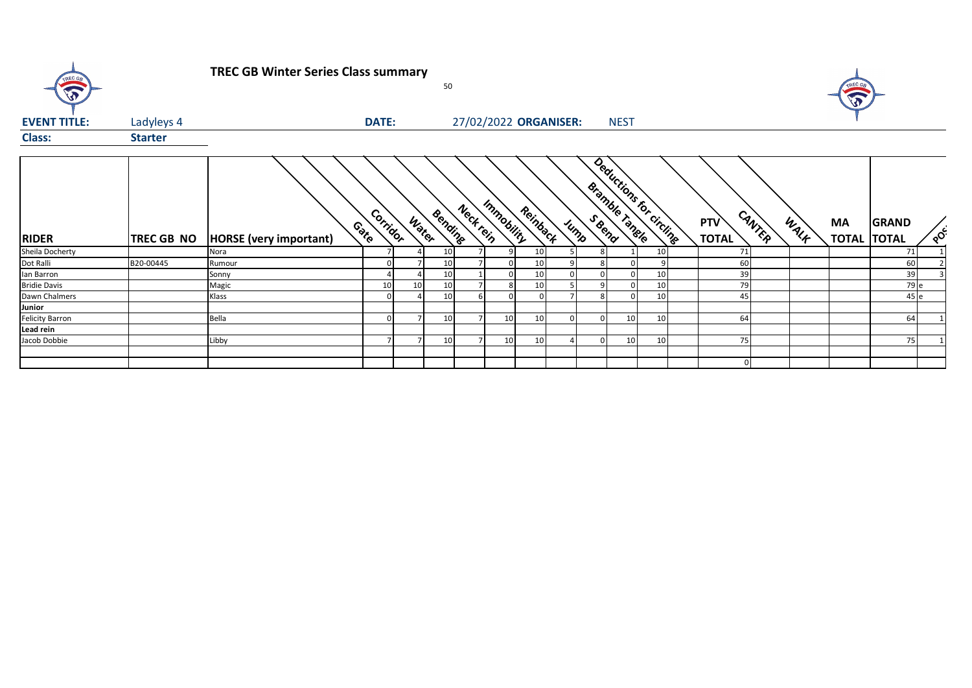| TREC OF             |                | <b>TREC GB Winter Series Class summary</b> |                  |       | 50      |           |                 |          |                       |             |                                                  |    |                            |                |      |                           |                              |          |
|---------------------|----------------|--------------------------------------------|------------------|-------|---------|-----------|-----------------|----------|-----------------------|-------------|--------------------------------------------------|----|----------------------------|----------------|------|---------------------------|------------------------------|----------|
| <b>EVENT TITLE:</b> | Ladyleys 4     |                                            | <b>DATE:</b>     |       |         |           |                 |          | 27/02/2022 ORGANISER: | <b>NEST</b> |                                                  |    |                            |                |      |                           |                              |          |
| <b>Class:</b>       | <b>Starter</b> |                                            |                  |       |         |           |                 |          |                       |             |                                                  |    |                            |                |      |                           |                              |          |
| <b>RIDER</b>        | TREC GB NO     | <b>HORSE</b> (very important)              | Corridor<br>Cote | Water | Bending | Nect tein | Immobility      | Reinback | Jump                  |             | Deductions for circline<br><b>Bramble Tangle</b> |    | <b>PTV</b><br><b>TOTAL</b> | CANTER         | WALK | <b>MA</b><br><b>TOTAL</b> | <b>GRAND</b><br><b>TOTAL</b> | $\delta$ |
| Sheila Docherty     |                | Nora                                       |                  |       | 10      |           |                 | 10       |                       |             |                                                  | 10 | 71                         |                |      |                           | 71                           |          |
| Dot Ralli           | B20-00445      | Rumour                                     |                  |       | 10      |           |                 | 10       |                       |             |                                                  | 9  | 60                         |                |      |                           | 60                           |          |
| lan Barron          |                | Sonny                                      |                  |       | 10      |           |                 | 10       |                       |             |                                                  | 10 | 39                         |                |      |                           | 39                           |          |
| <b>Bridie Davis</b> |                | Magic                                      | 10               | 10    | 10      |           |                 | 10       |                       |             |                                                  | 10 | 79                         |                |      |                           | 79 e                         |          |
| Dawn Chalmers       |                | Klass                                      |                  |       | 10      |           |                 |          |                       |             |                                                  | 10 | 45                         |                |      |                           | 45 e                         |          |
| Junior              |                |                                            |                  |       |         |           |                 |          |                       |             |                                                  |    |                            |                |      |                           |                              |          |
| Felicity Barron     |                | Bella                                      | O                |       | 10      |           | 10 <sub>1</sub> | 10       |                       |             | 10                                               | 10 | 64                         |                |      |                           | 64                           |          |
| Lead rein           |                |                                            |                  |       |         |           |                 |          |                       |             |                                                  |    |                            |                |      |                           |                              |          |
| Jacob Dobbie        |                | Libby                                      | $\overline{ }$   |       | 10      |           | 10 <sub>1</sub> | 10       |                       |             | 10                                               | 10 | 75                         |                |      |                           | 75                           |          |
|                     |                |                                            |                  |       |         |           |                 |          |                       |             |                                                  |    |                            | $\overline{0}$ |      |                           |                              |          |